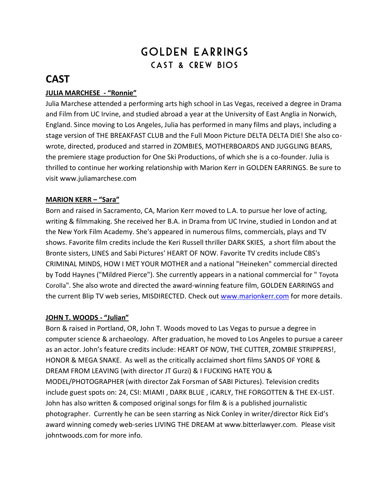# GOLDEN EARRINGS Cast & Crew Bios

## **CAST**

## **JULIA MARCHESE - "Ronnie"**

Julia Marchese attended a performing arts high school in Las Vegas, received a degree in Drama and Film from UC Irvine, and studied abroad a year at the University of East Anglia in Norwich, England. Since moving to Los Angeles, Julia has performed in many films and plays, including a stage version of THE BREAKFAST CLUB and the Full Moon Picture DELTA DELTA DIE! She also cowrote, directed, produced and starred in ZOMBIES, MOTHERBOARDS AND JUGGLING BEARS, the premiere stage production for One Ski Productions, of which she is a co-founder. Julia is thrilled to continue her working relationship with Marion Kerr in GOLDEN EARRINGS. Be sure to visit www.juliamarchese.com

## **MARION KERR – "Sara"**

Born and raised in Sacramento, CA, Marion Kerr moved to L.A. to pursue her love of acting, writing & filmmaking. She received her B.A. in Drama from UC Irvine, studied in London and at the New York Film Academy. She's appeared in numerous films, commercials, plays and TV shows. Favorite film credits include the Keri Russell thriller DARK SKIES, a short film about the Bronte sisters, LINES and Sabi Pictures' HEART OF NOW. Favorite TV credits include CBS's CRIMINAL MINDS, HOW I MET YOUR MOTHER and a national "Heineken" commercial directed by Todd Haynes ("Mildred Pierce"). She currently appears in a national commercial for " Toyota Corolla". She also wrote and directed the award-winning feature film, GOLDEN EARRINGS and the current Blip TV web series, MISDIRECTED. Check out [www.marionkerr.com](http://www.marionkerr.com/) for more details.

#### **JOHN T. WOODS - "Julian"**

Born & raised in Portland, OR, John T. Woods moved to Las Vegas to pursue a degree in computer science & archaeology. After graduation, he moved to Los Angeles to pursue a career as an actor. John's feature credits include: HEART OF NOW, THE CUTTER, ZOMBIE STRIPPERS!, HONOR & MEGA SNAKE. As well as the critically acclaimed short films SANDS OF YORE & DREAM FROM LEAVING (with director JT Gurzi) & I FUCKING HATE YOU & MODEL/PHOTOGRAPHER (with director Zak Forsman of SABI Pictures). Television credits include guest spots on: 24, CSI: MIAMI , DARK BLUE , iCARLY, THE FORGOTTEN & THE EX-LIST. John has also written & composed original songs for film & is a published journalistic photographer. Currently he can be seen starring as Nick Conley in writer/director Rick Eid's award winning comedy web-series LIVING THE DREAM at www.bitterlawyer.com. Please visit johntwoods.com for more info.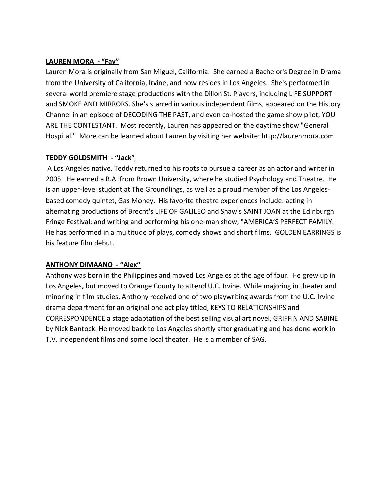### **LAUREN MORA - "Fay"**

Lauren Mora is originally from San Miguel, California. She earned a Bachelor's Degree in Drama from the University of California, Irvine, and now resides in Los Angeles. She's performed in several world premiere stage productions with the Dillon St. Players, including LIFE SUPPORT and SMOKE AND MIRRORS. She's starred in various independent films, appeared on the History Channel in an episode of DECODING THE PAST, and even co-hosted the game show pilot, YOU ARE THE CONTESTANT. Most recently, Lauren has appeared on the daytime show "General Hospital." More can be learned about Lauren by visiting her website: http://laurenmora.com

#### **TEDDY GOLDSMITH - "Jack"**

A Los Angeles native, Teddy returned to his roots to pursue a career as an actor and writer in 2005. He earned a B.A. from Brown University, where he studied Psychology and Theatre. He is an upper-level student at The Groundlings, as well as a proud member of the Los Angelesbased comedy quintet, Gas Money. His favorite theatre experiences include: acting in alternating productions of Brecht's LIFE OF GALILEO and Shaw's SAINT JOAN at the Edinburgh Fringe Festival; and writing and performing his one-man show, "AMERICA'S PERFECT FAMILY. He has performed in a multitude of plays, comedy shows and short films. GOLDEN EARRINGS is his feature film debut.

#### **ANTHONY DIMAANO - "Alex"**

Anthony was born in the Philippines and moved Los Angeles at the age of four. He grew up in Los Angeles, but moved to Orange County to attend U.C. Irvine. While majoring in theater and minoring in film studies, Anthony received one of two playwriting awards from the U.C. Irvine drama department for an original one act play titled, KEYS TO RELATIONSHIPS and CORRESPONDENCE a stage adaptation of the best selling visual art novel, GRIFFIN AND SABINE by Nick Bantock. He moved back to Los Angeles shortly after graduating and has done work in T.V. independent films and some local theater. He is a member of SAG.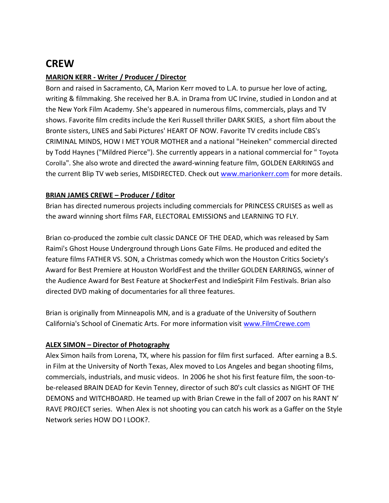## **CREW**

## **MARION KERR - Writer / Producer / Director**

Born and raised in Sacramento, CA, Marion Kerr moved to L.A. to pursue her love of acting, writing & filmmaking. She received her B.A. in Drama from UC Irvine, studied in London and at the New York Film Academy. She's appeared in numerous films, commercials, plays and TV shows. Favorite film credits include the Keri Russell thriller DARK SKIES, a short film about the Bronte sisters, LINES and Sabi Pictures' HEART OF NOW. Favorite TV credits include CBS's CRIMINAL MINDS, HOW I MET YOUR MOTHER and a national "Heineken" commercial directed by Todd Haynes ("Mildred Pierce"). She currently appears in a national commercial for " Toyota Corolla". She also wrote and directed the award-winning feature film, GOLDEN EARRINGS and the current Blip TV web series, MISDIRECTED. Check out [www.marionkerr.com](http://www.marionkerr.com/) for more details.

## **BRIAN JAMES CREWE – Producer / Editor**

Brian has directed numerous projects including commercials for PRINCESS CRUISES as well as the award winning short films FAR, ELECTORAL EMISSIONS and LEARNING TO FLY.

Brian co-produced the zombie cult classic DANCE OF THE DEAD, which was released by Sam Raimi's Ghost House Underground through Lions Gate Films. He produced and edited the feature films FATHER VS. SON, a Christmas comedy which won the Houston Critics Society's Award for Best Premiere at Houston WorldFest and the thriller GOLDEN EARRINGS, winner of the Audience Award for Best Feature at ShockerFest and IndieSpirit Film Festivals. Brian also directed DVD making of documentaries for all three features.

Brian is originally from Minneapolis MN, and is a graduate of the University of Southern California's School of Cinematic Arts. For more information visit [www.FilmCrewe.com](http://www.filmcrewe.com/)

#### **ALEX SIMON – Director of Photography**

Alex Simon hails from Lorena, TX, where his passion for film first surfaced. After earning a B.S. in Film at the University of North Texas, Alex moved to Los Angeles and began shooting films, commercials, industrials, and music videos. In 2006 he shot his first feature film, the soon-tobe-released BRAIN DEAD for Kevin Tenney, director of such 80's cult classics as NIGHT OF THE DEMONS and WITCHBOARD. He teamed up with Brian Crewe in the fall of 2007 on his RANT N' RAVE PROJECT series. When Alex is not shooting you can catch his work as a Gaffer on the Style Network series HOW DO I LOOK?.